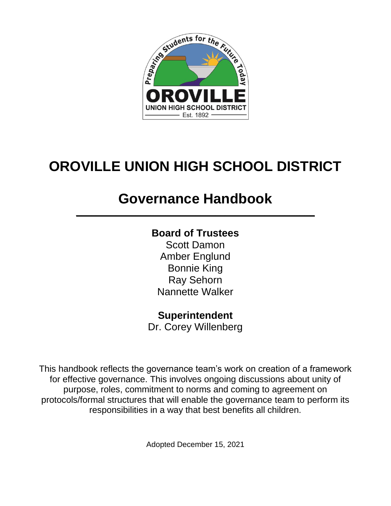

# **OROVILLE UNION HIGH SCHOOL DISTRICT**

# **Governance Handbook**

**\_\_\_\_\_\_\_\_\_\_\_\_\_\_\_\_\_\_\_\_\_\_\_\_\_\_\_\_\_\_\_\_\_\_\_\_\_\_\_\_\_\_\_\_\_\_\_\_**

# **Board of Trustees**

Scott Damon Amber Englund Bonnie King Ray Sehorn Nannette Walker

# **Superintendent**

Dr. Corey Willenberg

This handbook reflects the governance team's work on creation of a framework for effective governance. This involves ongoing discussions about unity of purpose, roles, commitment to norms and coming to agreement on protocols/formal structures that will enable the governance team to perform its responsibilities in a way that best benefits all children.

Adopted December 15, 2021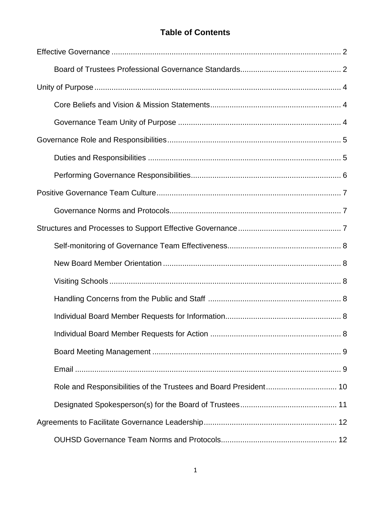# **Table of Contents**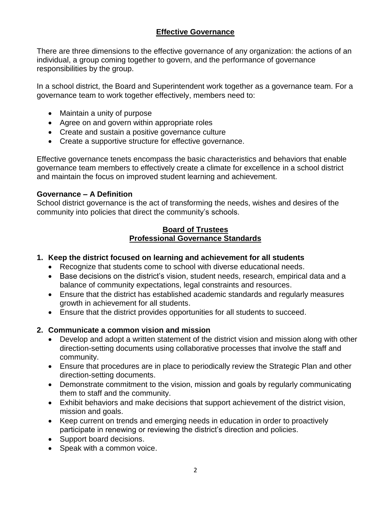#### **Effective Governance**

There are three dimensions to the effective governance of any organization: the actions of an individual, a group coming together to govern, and the performance of governance responsibilities by the group.

In a school district, the Board and Superintendent work together as a governance team. For a governance team to work together effectively, members need to:

- Maintain a unity of purpose
- Agree on and govern within appropriate roles
- Create and sustain a positive governance culture
- Create a supportive structure for effective governance.

Effective governance tenets encompass the basic characteristics and behaviors that enable governance team members to effectively create a climate for excellence in a school district and maintain the focus on improved student learning and achievement.

#### **Governance – A Definition**

School district governance is the act of transforming the needs, wishes and desires of the community into policies that direct the community's schools.

#### **Board of Trustees Professional Governance Standards**

- **1. Keep the district focused on learning and achievement for all students**
	- Recognize that students come to school with diverse educational needs.
	- Base decisions on the district's vision, student needs, research, empirical data and a balance of community expectations, legal constraints and resources.
	- Ensure that the district has established academic standards and regularly measures growth in achievement for all students.
	- Ensure that the district provides opportunities for all students to succeed.

#### **2. Communicate a common vision and mission**

- Develop and adopt a written statement of the district vision and mission along with other direction-setting documents using collaborative processes that involve the staff and community.
- Ensure that procedures are in place to periodically review the Strategic Plan and other direction-setting documents.
- Demonstrate commitment to the vision, mission and goals by regularly communicating them to staff and the community.
- Exhibit behaviors and make decisions that support achievement of the district vision, mission and goals.
- Keep current on trends and emerging needs in education in order to proactively participate in renewing or reviewing the district's direction and policies.
- Support board decisions.
- Speak with a common voice.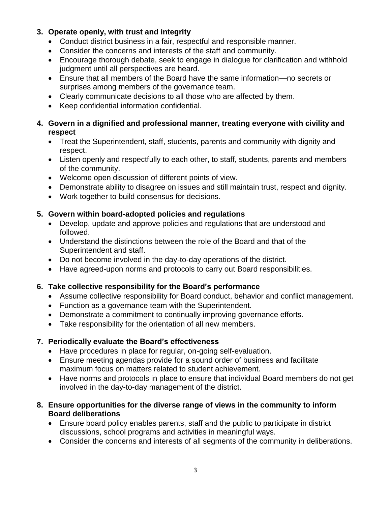### **3. Operate openly, with trust and integrity**

- Conduct district business in a fair, respectful and responsible manner.
- Consider the concerns and interests of the staff and community.
- Encourage thorough debate, seek to engage in dialogue for clarification and withhold judgment until all perspectives are heard.
- Ensure that all members of the Board have the same information—no secrets or surprises among members of the governance team.
- Clearly communicate decisions to all those who are affected by them.
- Keep confidential information confidential.

#### **4. Govern in a dignified and professional manner, treating everyone with civility and respect**

- Treat the Superintendent, staff, students, parents and community with dignity and respect.
- Listen openly and respectfully to each other, to staff, students, parents and members of the community.
- Welcome open discussion of different points of view.
- Demonstrate ability to disagree on issues and still maintain trust, respect and dignity.
- Work together to build consensus for decisions.

### **5. Govern within board-adopted policies and regulations**

- Develop, update and approve policies and regulations that are understood and followed.
- Understand the distinctions between the role of the Board and that of the Superintendent and staff.
- Do not become involved in the day-to-day operations of the district.
- Have agreed-upon norms and protocols to carry out Board responsibilities.

#### **6. Take collective responsibility for the Board's performance**

- Assume collective responsibility for Board conduct, behavior and conflict management.
- Function as a governance team with the Superintendent.
- Demonstrate a commitment to continually improving governance efforts.
- Take responsibility for the orientation of all new members.

#### **7. Periodically evaluate the Board's effectiveness**

- Have procedures in place for regular, on-going self-evaluation.
- Ensure meeting agendas provide for a sound order of business and facilitate maximum focus on matters related to student achievement.
- Have norms and protocols in place to ensure that individual Board members do not get involved in the day-to-day management of the district.

#### **8. Ensure opportunities for the diverse range of views in the community to inform Board deliberations**

- Ensure board policy enables parents, staff and the public to participate in district discussions, school programs and activities in meaningful ways.
- Consider the concerns and interests of all segments of the community in deliberations.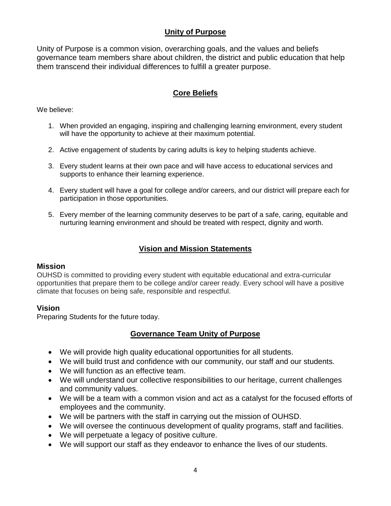#### **Unity of Purpose**

Unity of Purpose is a common vision, overarching goals, and the values and beliefs governance team members share about children, the district and public education that help them transcend their individual differences to fulfill a greater purpose.

# **Core Beliefs**

We believe:

- 1. When provided an engaging, inspiring and challenging learning environment, every student will have the opportunity to achieve at their maximum potential.
- 2. Active engagement of students by caring adults is key to helping students achieve.
- 3. Every student learns at their own pace and will have access to educational services and supports to enhance their learning experience.
- 4. Every student will have a goal for college and/or careers, and our district will prepare each for participation in those opportunities.
- 5. Every member of the learning community deserves to be part of a safe, caring, equitable and nurturing learning environment and should be treated with respect, dignity and worth.

#### **Vision and Mission Statements**

#### **Mission**

OUHSD is committed to providing every student with equitable educational and extra-curricular opportunities that prepare them to be college and/or career ready. Every school will have a positive climate that focuses on being safe, responsible and respectful.

#### **Vision**

Preparing Students for the future today.

#### **Governance Team Unity of Purpose**

- We will provide high quality educational opportunities for all students.
- We will build trust and confidence with our community, our staff and our students.
- We will function as an effective team.
- We will understand our collective responsibilities to our heritage, current challenges and community values.
- We will be a team with a common vision and act as a catalyst for the focused efforts of employees and the community.
- We will be partners with the staff in carrying out the mission of OUHSD.
- We will oversee the continuous development of quality programs, staff and facilities.
- We will perpetuate a legacy of positive culture.
- We will support our staff as they endeavor to enhance the lives of our students.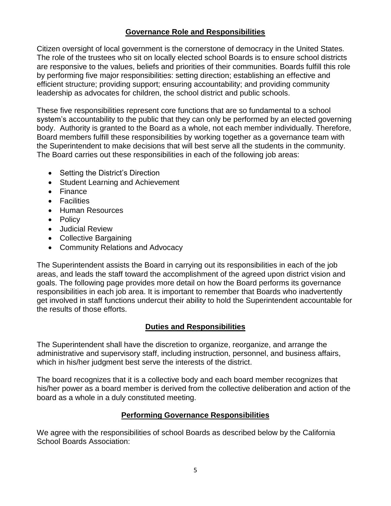#### **Governance Role and Responsibilities**

Citizen oversight of local government is the cornerstone of democracy in the United States. The role of the trustees who sit on locally elected school Boards is to ensure school districts are responsive to the values, beliefs and priorities of their communities. Boards fulfill this role by performing five major responsibilities: setting direction; establishing an effective and efficient structure; providing support; ensuring accountability; and providing community leadership as advocates for children, the school district and public schools.

These five responsibilities represent core functions that are so fundamental to a school system's accountability to the public that they can only be performed by an elected governing body. Authority is granted to the Board as a whole, not each member individually. Therefore, Board members fulfill these responsibilities by working together as a governance team with the Superintendent to make decisions that will best serve all the students in the community. The Board carries out these responsibilities in each of the following job areas:

- Setting the District's Direction
- Student Learning and Achievement
- Finance
- Facilities
- Human Resources
- Policy
- Judicial Review
- Collective Bargaining
- Community Relations and Advocacy

The Superintendent assists the Board in carrying out its responsibilities in each of the job areas, and leads the staff toward the accomplishment of the agreed upon district vision and goals. The following page provides more detail on how the Board performs its governance responsibilities in each job area. It is important to remember that Boards who inadvertently get involved in staff functions undercut their ability to hold the Superintendent accountable for the results of those efforts.

#### **Duties and Responsibilities**

The Superintendent shall have the discretion to organize, reorganize, and arrange the administrative and supervisory staff, including instruction, personnel, and business affairs, which in his/her judgment best serve the interests of the district.

The board recognizes that it is a collective body and each board member recognizes that his/her power as a board member is derived from the collective deliberation and action of the board as a whole in a duly constituted meeting.

#### **Performing Governance Responsibilities**

We agree with the responsibilities of school Boards as described below by the California School Boards Association: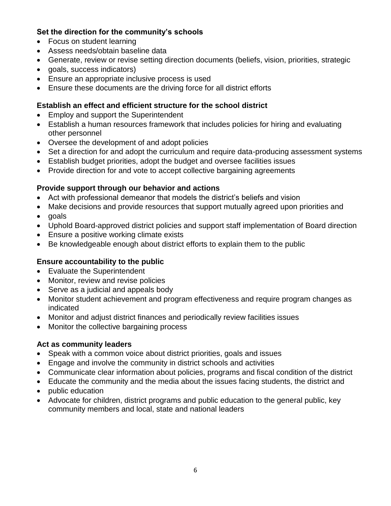#### **Set the direction for the community's schools**

- Focus on student learning
- Assess needs/obtain baseline data
- Generate, review or revise setting direction documents (beliefs, vision, priorities, strategic
- goals, success indicators)
- Ensure an appropriate inclusive process is used
- Ensure these documents are the driving force for all district efforts

### **Establish an effect and efficient structure for the school district**

- Employ and support the Superintendent
- Establish a human resources framework that includes policies for hiring and evaluating other personnel
- Oversee the development of and adopt policies
- Set a direction for and adopt the curriculum and require data-producing assessment systems
- Establish budget priorities, adopt the budget and oversee facilities issues
- Provide direction for and vote to accept collective bargaining agreements

### **Provide support through our behavior and actions**

- Act with professional demeanor that models the district's beliefs and vision
- Make decisions and provide resources that support mutually agreed upon priorities and
- goals
- Uphold Board-approved district policies and support staff implementation of Board direction
- Ensure a positive working climate exists
- Be knowledgeable enough about district efforts to explain them to the public

# **Ensure accountability to the public**

- Evaluate the Superintendent
- Monitor, review and revise policies
- Serve as a judicial and appeals body
- Monitor student achievement and program effectiveness and require program changes as indicated
- Monitor and adjust district finances and periodically review facilities issues
- Monitor the collective bargaining process

#### **Act as community leaders**

- Speak with a common voice about district priorities, goals and issues
- Engage and involve the community in district schools and activities
- Communicate clear information about policies, programs and fiscal condition of the district
- Educate the community and the media about the issues facing students, the district and
- public education
- Advocate for children, district programs and public education to the general public, key community members and local, state and national leaders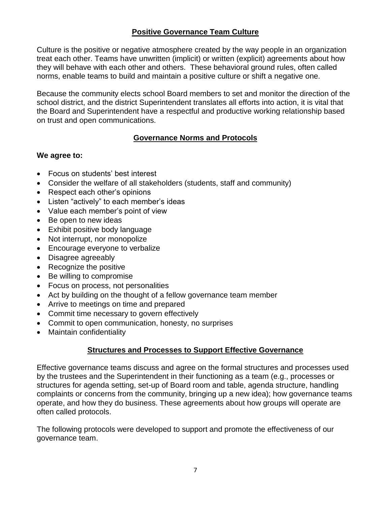#### **Positive Governance Team Culture**

Culture is the positive or negative atmosphere created by the way people in an organization treat each other. Teams have unwritten (implicit) or written (explicit) agreements about how they will behave with each other and others. These behavioral ground rules, often called norms, enable teams to build and maintain a positive culture or shift a negative one.

Because the community elects school Board members to set and monitor the direction of the school district, and the district Superintendent translates all efforts into action, it is vital that the Board and Superintendent have a respectful and productive working relationship based on trust and open communications.

#### **Governance Norms and Protocols**

#### **We agree to:**

- Focus on students' best interest
- Consider the welfare of all stakeholders (students, staff and community)
- Respect each other's opinions
- Listen "actively" to each member's ideas
- Value each member's point of view
- Be open to new ideas
- Exhibit positive body language
- Not interrupt, nor monopolize
- Encourage everyone to verbalize
- Disagree agreeably
- Recognize the positive
- Be willing to compromise
- Focus on process, not personalities
- Act by building on the thought of a fellow governance team member
- Arrive to meetings on time and prepared
- Commit time necessary to govern effectively
- Commit to open communication, honesty, no surprises
- Maintain confidentiality

#### **Structures and Processes to Support Effective Governance**

Effective governance teams discuss and agree on the formal structures and processes used by the trustees and the Superintendent in their functioning as a team (e.g., processes or structures for agenda setting, set-up of Board room and table, agenda structure, handling complaints or concerns from the community, bringing up a new idea); how governance teams operate, and how they do business. These agreements about how groups will operate are often called protocols.

The following protocols were developed to support and promote the effectiveness of our governance team.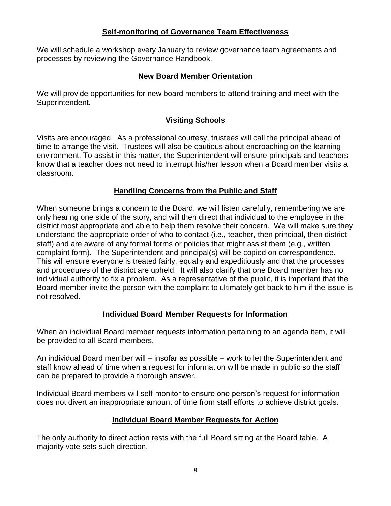#### **Self-monitoring of Governance Team Effectiveness**

We will schedule a workshop every January to review governance team agreements and processes by reviewing the Governance Handbook.

#### **New Board Member Orientation**

We will provide opportunities for new board members to attend training and meet with the Superintendent.

## **Visiting Schools**

Visits are encouraged. As a professional courtesy, trustees will call the principal ahead of time to arrange the visit. Trustees will also be cautious about encroaching on the learning environment. To assist in this matter, the Superintendent will ensure principals and teachers know that a teacher does not need to interrupt his/her lesson when a Board member visits a classroom.

#### **Handling Concerns from the Public and Staff**

When someone brings a concern to the Board, we will listen carefully, remembering we are only hearing one side of the story, and will then direct that individual to the employee in the district most appropriate and able to help them resolve their concern. We will make sure they understand the appropriate order of who to contact (i.e., teacher, then principal, then district staff) and are aware of any formal forms or policies that might assist them (e.g., written complaint form). The Superintendent and principal(s) will be copied on correspondence. This will ensure everyone is treated fairly, equally and expeditiously and that the processes and procedures of the district are upheld. It will also clarify that one Board member has no individual authority to fix a problem. As a representative of the public, it is important that the Board member invite the person with the complaint to ultimately get back to him if the issue is not resolved.

# **Individual Board Member Requests for Information**

When an individual Board member requests information pertaining to an agenda item, it will be provided to all Board members.

An individual Board member will – insofar as possible – work to let the Superintendent and staff know ahead of time when a request for information will be made in public so the staff can be prepared to provide a thorough answer.

Individual Board members will self-monitor to ensure one person's request for information does not divert an inappropriate amount of time from staff efforts to achieve district goals.

#### **Individual Board Member Requests for Action**

The only authority to direct action rests with the full Board sitting at the Board table. A majority vote sets such direction.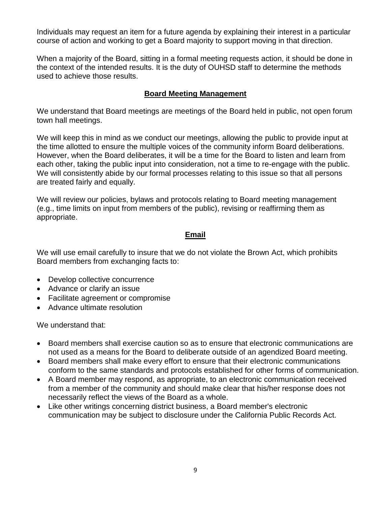Individuals may request an item for a future agenda by explaining their interest in a particular course of action and working to get a Board majority to support moving in that direction.

When a majority of the Board, sitting in a formal meeting requests action, it should be done in the context of the intended results. It is the duty of OUHSD staff to determine the methods used to achieve those results.

#### **Board Meeting Management**

We understand that Board meetings are meetings of the Board held in public, not open forum town hall meetings.

We will keep this in mind as we conduct our meetings, allowing the public to provide input at the time allotted to ensure the multiple voices of the community inform Board deliberations. However, when the Board deliberates, it will be a time for the Board to listen and learn from each other, taking the public input into consideration, not a time to re-engage with the public. We will consistently abide by our formal processes relating to this issue so that all persons are treated fairly and equally.

We will review our policies, bylaws and protocols relating to Board meeting management (e.g., time limits on input from members of the public), revising or reaffirming them as appropriate.

#### **Email**

We will use email carefully to insure that we do not violate the Brown Act, which prohibits Board members from exchanging facts to:

- Develop collective concurrence
- Advance or clarify an issue
- Facilitate agreement or compromise
- Advance ultimate resolution

We understand that:

- Board members shall exercise caution so as to ensure that electronic communications are not used as a means for the Board to deliberate outside of an agendized Board meeting.
- Board members shall make every effort to ensure that their electronic communications conform to the same standards and protocols established for other forms of communication.
- A Board member may respond, as appropriate, to an electronic communication received from a member of the community and should make clear that his/her response does not necessarily reflect the views of the Board as a whole.
- Like other writings concerning district business, a Board member's electronic communication may be subject to disclosure under the California Public Records Act.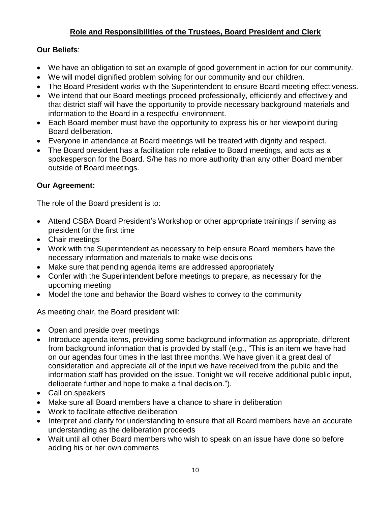# **Role and Responsibilities of the Trustees, Board President and Clerk**

#### **Our Beliefs**:

- We have an obligation to set an example of good government in action for our community.
- We will model dignified problem solving for our community and our children.
- The Board President works with the Superintendent to ensure Board meeting effectiveness.
- We intend that our Board meetings proceed professionally, efficiently and effectively and that district staff will have the opportunity to provide necessary background materials and information to the Board in a respectful environment.
- Each Board member must have the opportunity to express his or her viewpoint during Board deliberation.
- Everyone in attendance at Board meetings will be treated with dignity and respect.
- The Board president has a facilitation role relative to Board meetings, and acts as a spokesperson for the Board. S/he has no more authority than any other Board member outside of Board meetings.

### **Our Agreement:**

The role of the Board president is to:

- Attend CSBA Board President's Workshop or other appropriate trainings if serving as president for the first time
- Chair meetings
- Work with the Superintendent as necessary to help ensure Board members have the necessary information and materials to make wise decisions
- Make sure that pending agenda items are addressed appropriately
- Confer with the Superintendent before meetings to prepare, as necessary for the upcoming meeting
- Model the tone and behavior the Board wishes to convey to the community

As meeting chair, the Board president will:

- Open and preside over meetings
- Introduce agenda items, providing some background information as appropriate, different from background information that is provided by staff (e.g., "This is an item we have had on our agendas four times in the last three months. We have given it a great deal of consideration and appreciate all of the input we have received from the public and the information staff has provided on the issue. Tonight we will receive additional public input, deliberate further and hope to make a final decision.").
- Call on speakers
- Make sure all Board members have a chance to share in deliberation
- Work to facilitate effective deliberation
- Interpret and clarify for understanding to ensure that all Board members have an accurate understanding as the deliberation proceeds
- Wait until all other Board members who wish to speak on an issue have done so before adding his or her own comments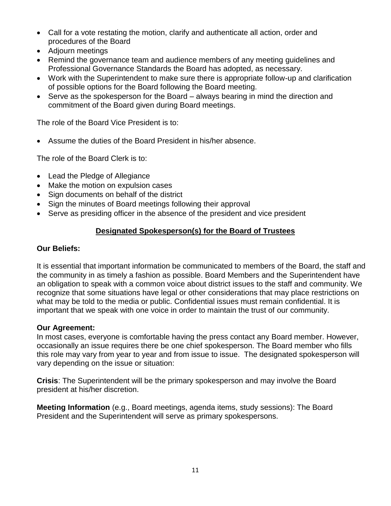- Call for a vote restating the motion, clarify and authenticate all action, order and procedures of the Board
- Adjourn meetings
- Remind the governance team and audience members of any meeting guidelines and Professional Governance Standards the Board has adopted, as necessary.
- Work with the Superintendent to make sure there is appropriate follow-up and clarification of possible options for the Board following the Board meeting.
- Serve as the spokesperson for the Board always bearing in mind the direction and commitment of the Board given during Board meetings.

The role of the Board Vice President is to:

Assume the duties of the Board President in his/her absence.

The role of the Board Clerk is to:

- Lead the Pledge of Allegiance
- Make the motion on expulsion cases
- Sign documents on behalf of the district
- Sign the minutes of Board meetings following their approval
- Serve as presiding officer in the absence of the president and vice president

# **Designated Spokesperson(s) for the Board of Trustees**

### **Our Beliefs:**

It is essential that important information be communicated to members of the Board, the staff and the community in as timely a fashion as possible. Board Members and the Superintendent have an obligation to speak with a common voice about district issues to the staff and community. We recognize that some situations have legal or other considerations that may place restrictions on what may be told to the media or public. Confidential issues must remain confidential. It is important that we speak with one voice in order to maintain the trust of our community.

#### **Our Agreement:**

In most cases, everyone is comfortable having the press contact any Board member. However, occasionally an issue requires there be one chief spokesperson. The Board member who fills this role may vary from year to year and from issue to issue. The designated spokesperson will vary depending on the issue or situation:

**Crisis**: The Superintendent will be the primary spokesperson and may involve the Board president at his/her discretion.

**Meeting Information** (e.g., Board meetings, agenda items, study sessions): The Board President and the Superintendent will serve as primary spokespersons.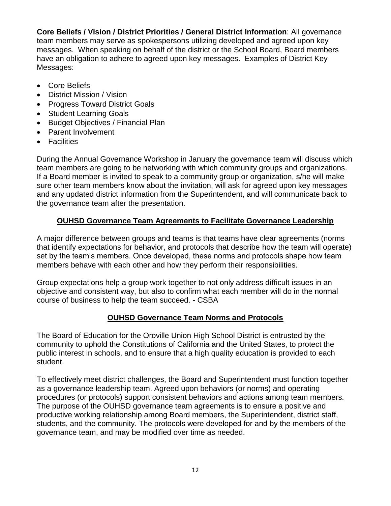**Core Beliefs / Vision / District Priorities / General District Information**: All governance team members may serve as spokespersons utilizing developed and agreed upon key messages. When speaking on behalf of the district or the School Board, Board members have an obligation to adhere to agreed upon key messages. Examples of District Key Messages:

- Core Beliefs
- District Mission / Vision
- Progress Toward District Goals
- Student Learning Goals
- Budget Objectives / Financial Plan
- Parent Involvement
- Facilities

During the Annual Governance Workshop in January the governance team will discuss which team members are going to be networking with which community groups and organizations. If a Board member is invited to speak to a community group or organization, s/he will make sure other team members know about the invitation, will ask for agreed upon key messages and any updated district information from the Superintendent, and will communicate back to the governance team after the presentation.

# **OUHSD Governance Team Agreements to Facilitate Governance Leadership**

A major difference between groups and teams is that teams have clear agreements (norms that identify expectations for behavior, and protocols that describe how the team will operate) set by the team's members. Once developed, these norms and protocols shape how team members behave with each other and how they perform their responsibilities.

Group expectations help a group work together to not only address difficult issues in an objective and consistent way, but also to confirm what each member will do in the normal course of business to help the team succeed. - CSBA

#### **OUHSD Governance Team Norms and Protocols**

The Board of Education for the Oroville Union High School District is entrusted by the community to uphold the Constitutions of California and the United States, to protect the public interest in schools, and to ensure that a high quality education is provided to each student.

To effectively meet district challenges, the Board and Superintendent must function together as a governance leadership team. Agreed upon behaviors (or norms) and operating procedures (or protocols) support consistent behaviors and actions among team members. The purpose of the OUHSD governance team agreements is to ensure a positive and productive working relationship among Board members, the Superintendent, district staff, students, and the community. The protocols were developed for and by the members of the governance team, and may be modified over time as needed.